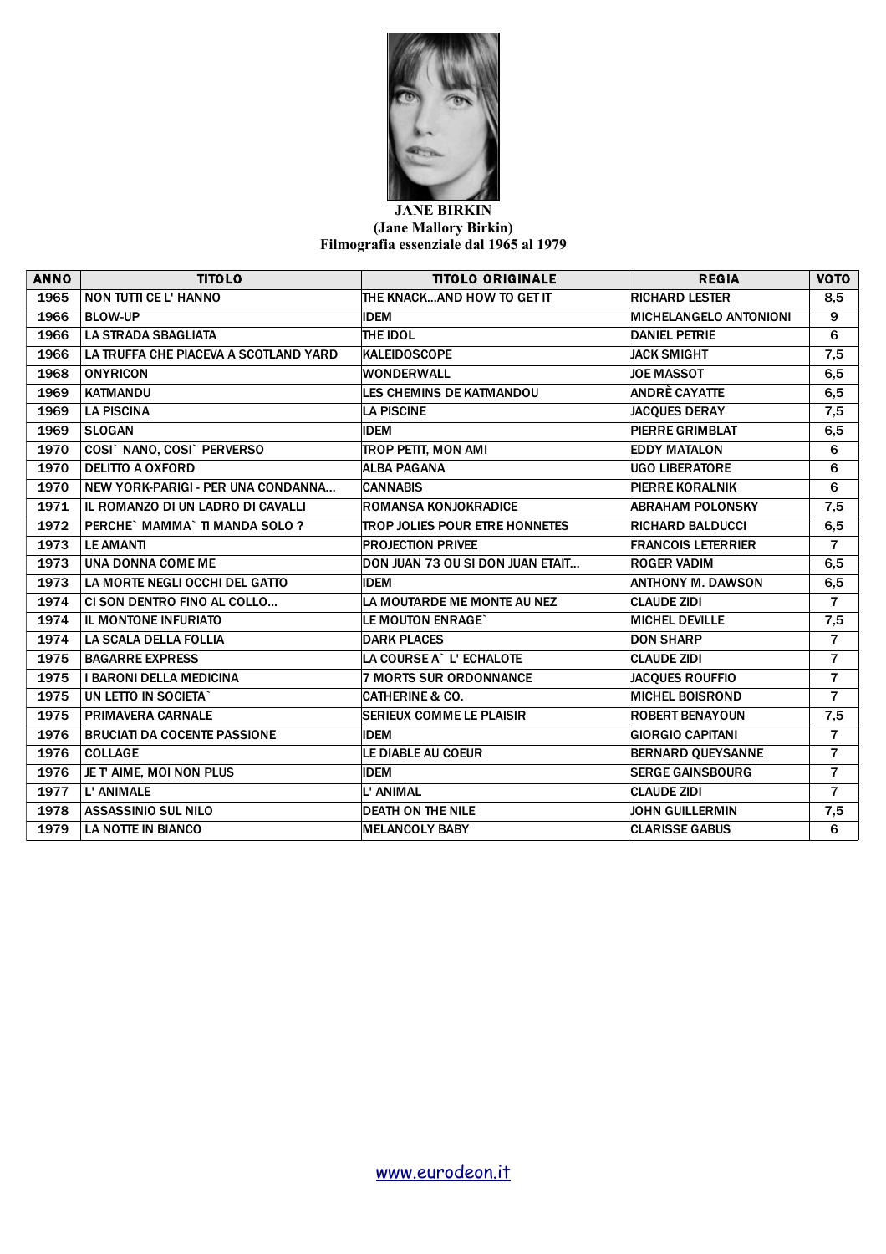

## **JANE BIRKIN (Jane Mallory Birkin) Filmografia essenziale dal 1965 al 1979**

| <b>ANNO</b> | <b>TITOLO</b>                         | <b>TITOLO ORIGINALE</b>               | <b>REGIA</b>                  | <b>VOTO</b>    |
|-------------|---------------------------------------|---------------------------------------|-------------------------------|----------------|
| 1965        | <b>NON TUTTI CE L' HANNO</b>          | THE KNACKAND HOW TO GET IT            | <b>RICHARD LESTER</b>         | 8,5            |
| 1966        | <b>BLOW-UP</b>                        | <b>IDEM</b>                           | <b>MICHELANGELO ANTONIONI</b> | 9              |
| 1966        | <b>LA STRADA SBAGLIATA</b>            | THE IDOL                              | <b>DANIEL PETRIE</b>          | 6              |
| 1966        | LA TRUFFA CHE PIACEVA A SCOTLAND YARD | <b>KALEIDOSCOPE</b>                   | <b>JACK SMIGHT</b>            | 7,5            |
| 1968        | <b>ONYRICON</b>                       | <b>WONDERWALL</b>                     | <b>JOE MASSOT</b>             | 6, 5           |
| 1969        | <b>KATMANDU</b>                       | LES CHEMINS DE KATMANDOU              | ANDRÈ CAYATTE                 | 6, 5           |
| 1969        | <b>LA PISCINA</b>                     | <b>LA PISCINE</b>                     | <b>JACQUES DERAY</b>          | 7,5            |
| 1969        | <b>SLOGAN</b>                         | <b>IDEM</b>                           | PIERRE GRIMBLAT               | 6,5            |
| 1970        | COSI` NANO, COSI` PERVERSO            | <b>TROP PETIT, MON AMI</b>            | <b>EDDY MATALON</b>           | 6              |
| 1970        | <b>DELITTO A OXFORD</b>               | <b>ALBA PAGANA</b>                    | <b>UGO LIBERATORE</b>         | 6              |
| 1970        | NEW YORK-PARIGI - PER UNA CONDANNA    | <b>CANNABIS</b>                       | PIERRE KORALNIK               | 6              |
| 1971        | IL ROMANZO DI UN LADRO DI CAVALLI     | <b>ROMANSA KONJOKRADICE</b>           | <b>ABRAHAM POLONSKY</b>       | 7,5            |
| 1972        | PERCHE` MAMMA` TI MANDA SOLO ?        | <b>TROP JOLIES POUR ETRE HONNETES</b> | <b>RICHARD BALDUCCI</b>       | 6,5            |
| 1973        | <b>LE AMANTI</b>                      | <b>PROJECTION PRIVEE</b>              | <b>FRANCOIS LETERRIER</b>     | $\overline{7}$ |
| 1973        | <b>UNA DONNA COME ME</b>              | DON JUAN 73 OU SI DON JUAN ETAIT      | <b>ROGER VADIM</b>            | 6,5            |
| 1973        | LA MORTE NEGLI OCCHI DEL GATTO        | <b>IDEM</b>                           | <b>ANTHONY M. DAWSON</b>      | 6,5            |
| 1974        | CI SON DENTRO FINO AL COLLO           | LA MOUTARDE ME MONTE AU NEZ           | <b>CLAUDE ZIDI</b>            | $\overline{7}$ |
| 1974        | <b>IL MONTONE INFURIATO</b>           | LE MOUTON ENRAGE`                     | <b>MICHEL DEVILLE</b>         | 7,5            |
| 1974        | LA SCALA DELLA FOLLIA                 | <b>DARK PLACES</b>                    | <b>DON SHARP</b>              | $\overline{7}$ |
| 1975        | <b>BAGARRE EXPRESS</b>                | LA COURSE A` L' ECHALOTE              | <b>CLAUDE ZIDI</b>            | $\overline{7}$ |
| 1975        | <b>I BARONI DELLA MEDICINA</b>        | <b>7 MORTS SUR ORDONNANCE</b>         | <b>JACQUES ROUFFIO</b>        | $\overline{7}$ |
| 1975        | UN LETTO IN SOCIETA"                  | <b>CATHERINE &amp; CO.</b>            | <b>MICHEL BOISROND</b>        | $\overline{7}$ |
| 1975        | <b>PRIMAVERA CARNALE</b>              | <b>SERIEUX COMME LE PLAISIR</b>       | <b>ROBERT BENAYOUN</b>        | 7,5            |
| 1976        | <b>BRUCIATI DA COCENTE PASSIONE</b>   | <b>IDEM</b>                           | <b>GIORGIO CAPITANI</b>       | $\overline{7}$ |
| 1976        | <b>COLLAGE</b>                        | LE DIABLE AU COEUR                    | BERNARD QUEYSANNE             | $\overline{7}$ |
| 1976        | JE T' AIME, MOI NON PLUS              | <b>IDEM</b>                           | <b>SERGE GAINSBOURG</b>       | $\overline{7}$ |
| 1977        | L' ANIMALE                            | L' ANIMAL                             | <b>CLAUDE ZIDI</b>            | $\overline{7}$ |
| 1978        | <b>ASSASSINIO SUL NILO</b>            | <b>DEATH ON THE NILE</b>              | <b>JOHN GUILLERMIN</b>        | 7,5            |
| 1979        | <b>LA NOTTE IN BIANCO</b>             | <b>MELANCOLY BABY</b>                 | <b>CLARISSE GABUS</b>         | 6              |

[www.eurodeon.it](https://www.eurodeon.it/)